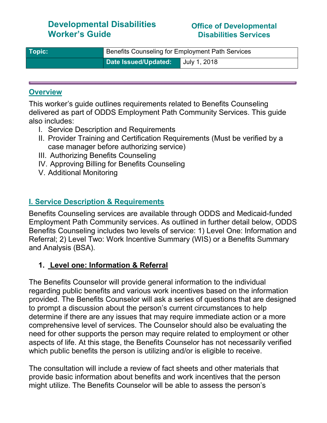# Developmental Disabilities Worker's Guide

#### Office of Developmental Disabilities Services

| Topic: | Benefits Counseling for Employment Path Services |              |  |
|--------|--------------------------------------------------|--------------|--|
|        | Date Issued/Updated:                             | July 1, 2018 |  |

#### **Overview**

This worker's guide outlines requirements related to Benefits Counseling delivered as part of ODDS Employment Path Community Services. This guide also includes:

- I. Service Description and Requirements
- II. Provider Training and Certification Requirements (Must be verified by a case manager before authorizing service)
- III. Authorizing Benefits Counseling
- IV. Approving Billing for Benefits Counseling
- V. Additional Monitoring

### I. Service Description & Requirements

Benefits Counseling services are available through ODDS and Medicaid-funded Employment Path Community services. As outlined in further detail below, ODDS Benefits Counseling includes two levels of service: 1) Level One: Information and Referral; 2) Level Two: Work Incentive Summary (WIS) or a Benefits Summary and Analysis (BSA).

### 1. Level one: Information & Referral

The Benefits Counselor will provide general information to the individual regarding public benefits and various work incentives based on the information provided. The Benefits Counselor will ask a series of questions that are designed to prompt a discussion about the person's current circumstances to help determine if there are any issues that may require immediate action or a more comprehensive level of services. The Counselor should also be evaluating the need for other supports the person may require related to employment or other aspects of life. At this stage, the Benefits Counselor has not necessarily verified which public benefits the person is utilizing and/or is eligible to receive.

The consultation will include a review of fact sheets and other materials that provide basic information about benefits and work incentives that the person might utilize. The Benefits Counselor will be able to assess the person's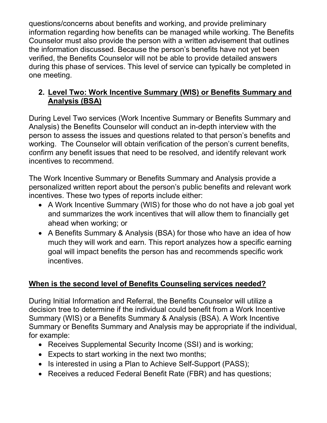questions/concerns about benefits and working, and provide preliminary information regarding how benefits can be managed while working. The Benefits Counselor must also provide the person with a written advisement that outlines the information discussed. Because the person's benefits have not yet been verified, the Benefits Counselor will not be able to provide detailed answers during this phase of services. This level of service can typically be completed in one meeting.

### 2. Level Two: Work Incentive Summary (WIS) or Benefits Summary and Analysis (BSA)

During Level Two services (Work Incentive Summary or Benefits Summary and Analysis) the Benefits Counselor will conduct an in-depth interview with the person to assess the issues and questions related to that person's benefits and working. The Counselor will obtain verification of the person's current benefits, confirm any benefit issues that need to be resolved, and identify relevant work incentives to recommend.

The Work Incentive Summary or Benefits Summary and Analysis provide a personalized written report about the person's public benefits and relevant work incentives. These two types of reports include either:

- A Work Incentive Summary (WIS) for those who do not have a job goal yet and summarizes the work incentives that will allow them to financially get ahead when working; or
- A Benefits Summary & Analysis (BSA) for those who have an idea of how much they will work and earn. This report analyzes how a specific earning goal will impact benefits the person has and recommends specific work incentives.

# When is the second level of Benefits Counseling services needed?

During Initial Information and Referral, the Benefits Counselor will utilize a decision tree to determine if the individual could benefit from a Work Incentive Summary (WIS) or a Benefits Summary & Analysis (BSA). A Work Incentive Summary or Benefits Summary and Analysis may be appropriate if the individual, for example:

- Receives Supplemental Security Income (SSI) and is working;
- Expects to start working in the next two months;
- Is interested in using a Plan to Achieve Self-Support (PASS);
- Receives a reduced Federal Benefit Rate (FBR) and has questions;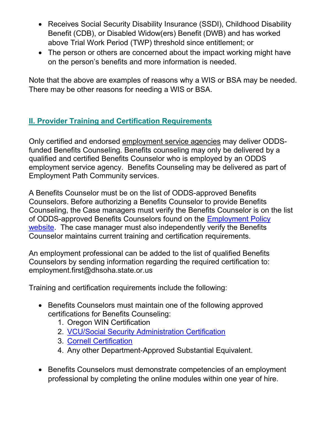- Receives Social Security Disability Insurance (SSDI), Childhood Disability Benefit (CDB), or Disabled Widow(ers) Benefit (DWB) and has worked above Trial Work Period (TWP) threshold since entitlement; or
- The person or others are concerned about the impact working might have on the person's benefits and more information is needed.

Note that the above are examples of reasons why a WIS or BSA may be needed. There may be other reasons for needing a WIS or BSA.

# II. Provider Training and Certification Requirements

Only certified and endorsed employment service agencies may deliver ODDSfunded Benefits Counseling. Benefits counseling may only be delivered by a qualified and certified Benefits Counselor who is employed by an ODDS employment service agency. Benefits Counseling may be delivered as part of Employment Path Community services.

A Benefits Counselor must be on the list of ODDS-approved Benefits Counselors. Before authorizing a Benefits Counselor to provide Benefits Counseling, the Case managers must verify the Benefits Counselor is on the list of ODDS-approved Benefits Counselors found on the Employment Policy website. The case manager must also independently verify the Benefits Counselor maintains current training and certification requirements.

An employment professional can be added to the list of qualified Benefits Counselors by sending information regarding the required certification to: employment.first@dhsoha.state.or.us

Training and certification requirements include the following:

- Benefits Counselors must maintain one of the following approved certifications for Benefits Counseling:
	- 1. Oregon WIN Certification
	- 2. VCU/Social Security Administration Certification
	- 3. Cornell Certification
	- 4. Any other Department-Approved Substantial Equivalent.
- Benefits Counselors must demonstrate competencies of an employment professional by completing the online modules within one year of hire.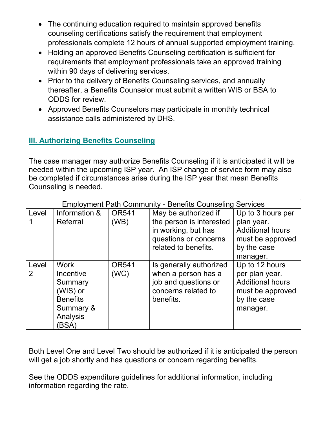- The continuing education required to maintain approved benefits counseling certifications satisfy the requirement that employment professionals complete 12 hours of annual supported employment training.
- Holding an approved Benefits Counseling certification is sufficient for requirements that employment professionals take an approved training within 90 days of delivering services.
- Prior to the delivery of Benefits Counseling services, and annually thereafter, a Benefits Counselor must submit a written WIS or BSA to ODDS for review.
- Approved Benefits Counselors may participate in monthly technical assistance calls administered by DHS.

# **III. Authorizing Benefits Counseling**

The case manager may authorize Benefits Counseling if it is anticipated it will be needed within the upcoming ISP year. An ISP change of service form may also be completed if circumstances arise during the ISP year that mean Benefits Counseling is needed.

| <b>Employment Path Community - Benefits Counseling Services</b> |                                                                                                      |                      |                                                                                                            |                                                                                                            |  |
|-----------------------------------------------------------------|------------------------------------------------------------------------------------------------------|----------------------|------------------------------------------------------------------------------------------------------------|------------------------------------------------------------------------------------------------------------|--|
| Level                                                           | Information &                                                                                        | <b>OR541</b>         | May be authorized if                                                                                       | Up to 3 hours per                                                                                          |  |
|                                                                 | Referral                                                                                             | (WB)                 | the person is interested<br>in working, but has<br>questions or concerns<br>related to benefits.           | plan year.<br><b>Additional hours</b><br>must be approved<br>by the case                                   |  |
|                                                                 |                                                                                                      |                      |                                                                                                            | manager.                                                                                                   |  |
| Level<br>$\overline{2}$                                         | <b>Work</b><br>Incentive<br>Summary<br>(WIS) or<br><b>Benefits</b><br>Summary &<br>Analysis<br>(BSA) | <b>OR541</b><br>(WC) | Is generally authorized<br>when a person has a<br>job and questions or<br>concerns related to<br>benefits. | Up to 12 hours<br>per plan year.<br><b>Additional hours</b><br>must be approved<br>by the case<br>manager. |  |

Both Level One and Level Two should be authorized if it is anticipated the person will get a job shortly and has questions or concern regarding benefits.

See the ODDS expenditure guidelines for additional information, including information regarding the rate.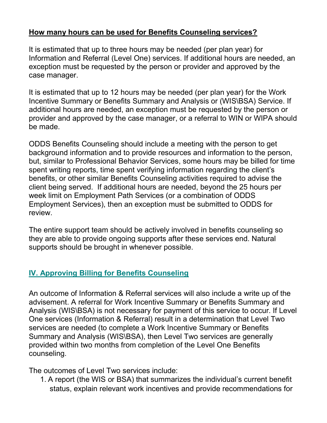### How many hours can be used for Benefits Counseling services?

It is estimated that up to three hours may be needed (per plan year) for Information and Referral (Level One) services. If additional hours are needed, an exception must be requested by the person or provider and approved by the case manager.

It is estimated that up to 12 hours may be needed (per plan year) for the Work Incentive Summary or Benefits Summary and Analysis or (WIS\BSA) Service. If additional hours are needed, an exception must be requested by the person or provider and approved by the case manager, or a referral to WIN or WIPA should be made.

ODDS Benefits Counseling should include a meeting with the person to get background information and to provide resources and information to the person, but, similar to Professional Behavior Services, some hours may be billed for time spent writing reports, time spent verifying information regarding the client's benefits, or other similar Benefits Counseling activities required to advise the client being served. If additional hours are needed, beyond the 25 hours per week limit on Employment Path Services (or a combination of ODDS Employment Services), then an exception must be submitted to ODDS for review.

The entire support team should be actively involved in benefits counseling so they are able to provide ongoing supports after these services end. Natural supports should be brought in whenever possible.

# IV. Approving Billing for Benefits Counseling

An outcome of Information & Referral services will also include a write up of the advisement. A referral for Work Incentive Summary or Benefits Summary and Analysis (WIS\BSA) is not necessary for payment of this service to occur. If Level One services (Information & Referral) result in a determination that Level Two services are needed (to complete a Work Incentive Summary or Benefits Summary and Analysis (WIS\BSA), then Level Two services are generally provided within two months from completion of the Level One Benefits counseling.

The outcomes of Level Two services include:

1. A report (the WIS or BSA) that summarizes the individual's current benefit status, explain relevant work incentives and provide recommendations for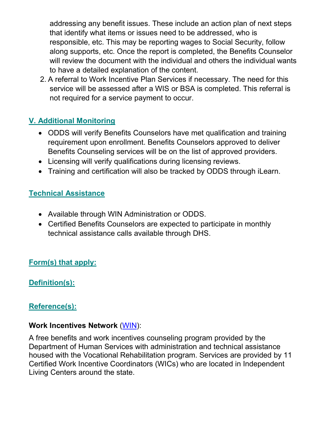addressing any benefit issues. These include an action plan of next steps that identify what items or issues need to be addressed, who is responsible, etc. This may be reporting wages to Social Security, follow along supports, etc. Once the report is completed, the Benefits Counselor will review the document with the individual and others the individual wants to have a detailed explanation of the content.

2. A referral to Work Incentive Plan Services if necessary. The need for this service will be assessed after a WIS or BSA is completed. This referral is not required for a service payment to occur.

# V. Additional Monitoring

- ODDS will verify Benefits Counselors have met qualification and training requirement upon enrollment. Benefits Counselors approved to deliver Benefits Counseling services will be on the list of approved providers.
- Licensing will verify qualifications during licensing reviews.
- Training and certification will also be tracked by ODDS through iLearn.

# Technical Assistance

- Available through WIN Administration or ODDS.
- Certified Benefits Counselors are expected to participate in monthly technical assistance calls available through DHS.

# Form(s) that apply:

# Definition(s):

# Reference(s):

### Work Incentives Network (WIN):

A free benefits and work incentives counseling program provided by the Department of Human Services with administration and technical assistance housed with the Vocational Rehabilitation program. Services are provided by 11 Certified Work Incentive Coordinators (WICs) who are located in Independent Living Centers around the state.